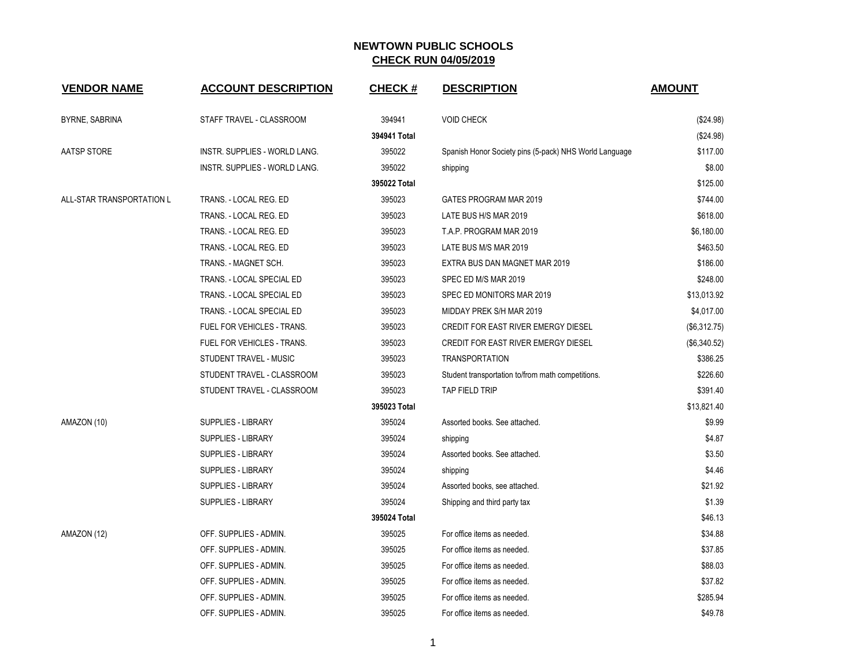| <b>VENDOR NAME</b>        | <b>ACCOUNT DESCRIPTION</b>        | <b>CHECK#</b> | <b>DESCRIPTION</b>                                     | <b>AMOUNT</b> |
|---------------------------|-----------------------------------|---------------|--------------------------------------------------------|---------------|
| BYRNE, SABRINA            | STAFF TRAVEL - CLASSROOM          | 394941        | <b>VOID CHECK</b>                                      | (\$24.98)     |
|                           |                                   | 394941 Total  |                                                        | (\$24.98)     |
| AATSP STORE               | INSTR. SUPPLIES - WORLD LANG.     | 395022        | Spanish Honor Society pins (5-pack) NHS World Language | \$117.00      |
|                           | INSTR. SUPPLIES - WORLD LANG.     | 395022        | shipping                                               | \$8.00        |
|                           |                                   | 395022 Total  |                                                        | \$125.00      |
| ALL-STAR TRANSPORTATION L | TRANS. - LOCAL REG. ED            | 395023        | GATES PROGRAM MAR 2019                                 | \$744.00      |
|                           | TRANS. - LOCAL REG. ED            | 395023        | LATE BUS H/S MAR 2019                                  | \$618.00      |
|                           | TRANS. - LOCAL REG. ED            | 395023        | T.A.P. PROGRAM MAR 2019                                | \$6,180.00    |
|                           | TRANS. - LOCAL REG. ED            | 395023        | LATE BUS M/S MAR 2019                                  | \$463.50      |
|                           | TRANS. - MAGNET SCH.              | 395023        | EXTRA BUS DAN MAGNET MAR 2019                          | \$186.00      |
|                           | TRANS. - LOCAL SPECIAL ED         | 395023        | SPEC ED M/S MAR 2019                                   | \$248.00      |
|                           | TRANS. - LOCAL SPECIAL ED         | 395023        | SPEC ED MONITORS MAR 2019                              | \$13,013.92   |
|                           | TRANS. - LOCAL SPECIAL ED         | 395023        | MIDDAY PREK S/H MAR 2019                               | \$4,017.00    |
|                           | FUEL FOR VEHICLES - TRANS.        | 395023        | CREDIT FOR EAST RIVER EMERGY DIESEL                    | (\$6,312.75)  |
|                           | <b>FUEL FOR VEHICLES - TRANS.</b> | 395023        | <b>CREDIT FOR EAST RIVER EMERGY DIESEL</b>             | (\$6,340.52)  |
|                           | STUDENT TRAVEL - MUSIC            | 395023        | <b>TRANSPORTATION</b>                                  | \$386.25      |
|                           | STUDENT TRAVEL - CLASSROOM        | 395023        | Student transportation to/from math competitions.      | \$226.60      |
|                           | STUDENT TRAVEL - CLASSROOM        | 395023        | TAP FIELD TRIP                                         | \$391.40      |
|                           |                                   | 395023 Total  |                                                        | \$13,821.40   |
| AMAZON (10)               | <b>SUPPLIES - LIBRARY</b>         | 395024        | Assorted books. See attached.                          | \$9.99        |
|                           | <b>SUPPLIES - LIBRARY</b>         | 395024        | shipping                                               | \$4.87        |
|                           | SUPPLIES - LIBRARY                | 395024        | Assorted books. See attached.                          | \$3.50        |
|                           | <b>SUPPLIES - LIBRARY</b>         | 395024        | shipping                                               | \$4.46        |
|                           | <b>SUPPLIES - LIBRARY</b>         | 395024        | Assorted books, see attached.                          | \$21.92       |
|                           | <b>SUPPLIES - LIBRARY</b>         | 395024        | Shipping and third party tax                           | \$1.39        |
|                           |                                   | 395024 Total  |                                                        | \$46.13       |
| AMAZON (12)               | OFF. SUPPLIES - ADMIN.            | 395025        | For office items as needed.                            | \$34.88       |
|                           | OFF. SUPPLIES - ADMIN.            | 395025        | For office items as needed.                            | \$37.85       |
|                           | OFF. SUPPLIES - ADMIN.            | 395025        | For office items as needed.                            | \$88.03       |
|                           | OFF. SUPPLIES - ADMIN.            | 395025        | For office items as needed.                            | \$37.82       |
|                           | OFF. SUPPLIES - ADMIN.            | 395025        | For office items as needed.                            | \$285.94      |
|                           | OFF. SUPPLIES - ADMIN.            | 395025        | For office items as needed.                            | \$49.78       |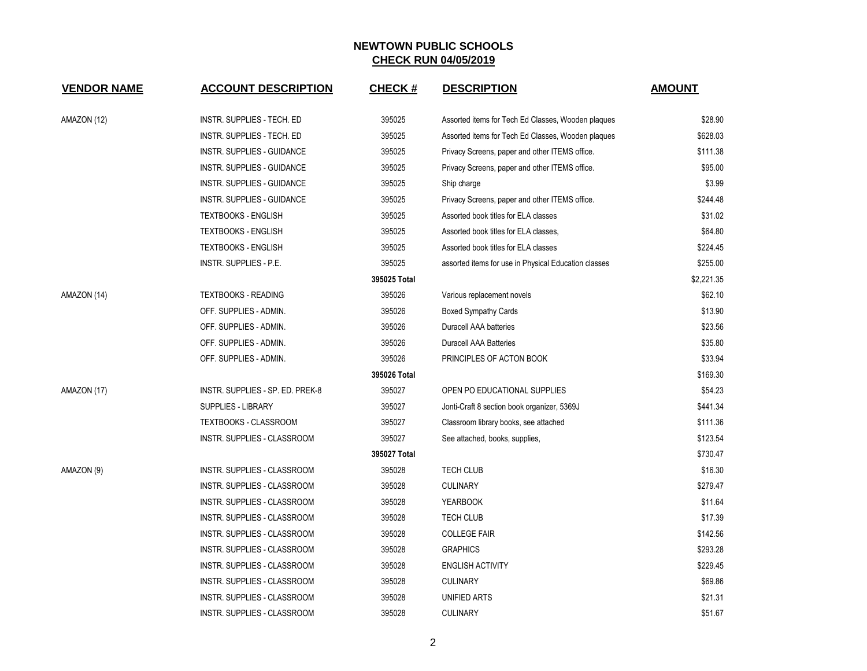| <b>VENDOR NAME</b> | <b>ACCOUNT DESCRIPTION</b>        | <b>CHECK#</b> | <b>DESCRIPTION</b>                                   | <b>AMOUNT</b> |
|--------------------|-----------------------------------|---------------|------------------------------------------------------|---------------|
| AMAZON (12)        | INSTR. SUPPLIES - TECH. ED        | 395025        | Assorted items for Tech Ed Classes, Wooden plaques   | \$28.90       |
|                    | INSTR. SUPPLIES - TECH. ED        | 395025        | Assorted items for Tech Ed Classes, Wooden plaques   | \$628.03      |
|                    | INSTR. SUPPLIES - GUIDANCE        | 395025        | Privacy Screens, paper and other ITEMS office.       | \$111.38      |
|                    | INSTR. SUPPLIES - GUIDANCE        | 395025        | Privacy Screens, paper and other ITEMS office.       | \$95.00       |
|                    | <b>INSTR. SUPPLIES - GUIDANCE</b> | 395025        | Ship charge                                          | \$3.99        |
|                    | INSTR. SUPPLIES - GUIDANCE        | 395025        | Privacy Screens, paper and other ITEMS office.       | \$244.48      |
|                    | <b>TEXTBOOKS - ENGLISH</b>        | 395025        | Assorted book titles for ELA classes                 | \$31.02       |
|                    | <b>TEXTBOOKS - ENGLISH</b>        | 395025        | Assorted book titles for ELA classes,                | \$64.80       |
|                    | <b>TEXTBOOKS - ENGLISH</b>        | 395025        | Assorted book titles for ELA classes                 | \$224.45      |
|                    | INSTR. SUPPLIES - P.E.            | 395025        | assorted items for use in Physical Education classes | \$255.00      |
|                    |                                   | 395025 Total  |                                                      | \$2,221.35    |
| AMAZON (14)        | <b>TEXTBOOKS - READING</b>        | 395026        | Various replacement novels                           | \$62.10       |
|                    | OFF. SUPPLIES - ADMIN.            | 395026        | <b>Boxed Sympathy Cards</b>                          | \$13.90       |
|                    | OFF. SUPPLIES - ADMIN.            | 395026        | Duracell AAA batteries                               | \$23.56       |
|                    | OFF. SUPPLIES - ADMIN.            | 395026        | <b>Duracell AAA Batteries</b>                        | \$35.80       |
|                    | OFF. SUPPLIES - ADMIN.            | 395026        | PRINCIPLES OF ACTON BOOK                             | \$33.94       |
|                    |                                   | 395026 Total  |                                                      | \$169.30      |
| AMAZON (17)        | INSTR. SUPPLIES - SP. ED. PREK-8  | 395027        | OPEN PO EDUCATIONAL SUPPLIES                         | \$54.23       |
|                    | <b>SUPPLIES - LIBRARY</b>         | 395027        | Jonti-Craft 8 section book organizer, 5369J          | \$441.34      |
|                    | <b>TEXTBOOKS - CLASSROOM</b>      | 395027        | Classroom library books, see attached                | \$111.36      |
|                    | INSTR. SUPPLIES - CLASSROOM       | 395027        | See attached, books, supplies,                       | \$123.54      |
|                    |                                   | 395027 Total  |                                                      | \$730.47      |
| AMAZON (9)         | INSTR. SUPPLIES - CLASSROOM       | 395028        | <b>TECH CLUB</b>                                     | \$16.30       |
|                    | INSTR. SUPPLIES - CLASSROOM       | 395028        | <b>CULINARY</b>                                      | \$279.47      |
|                    | INSTR. SUPPLIES - CLASSROOM       | 395028        | <b>YEARBOOK</b>                                      | \$11.64       |
|                    | INSTR. SUPPLIES - CLASSROOM       | 395028        | <b>TECH CLUB</b>                                     | \$17.39       |
|                    | INSTR. SUPPLIES - CLASSROOM       | 395028        | <b>COLLEGE FAIR</b>                                  | \$142.56      |
|                    | INSTR. SUPPLIES - CLASSROOM       | 395028        | <b>GRAPHICS</b>                                      | \$293.28      |
|                    | INSTR. SUPPLIES - CLASSROOM       | 395028        | <b>ENGLISH ACTIVITY</b>                              | \$229.45      |
|                    | INSTR. SUPPLIES - CLASSROOM       | 395028        | <b>CULINARY</b>                                      | \$69.86       |
|                    | INSTR. SUPPLIES - CLASSROOM       | 395028        | UNIFIED ARTS                                         | \$21.31       |
|                    | INSTR. SUPPLIES - CLASSROOM       | 395028        | <b>CULINARY</b>                                      | \$51.67       |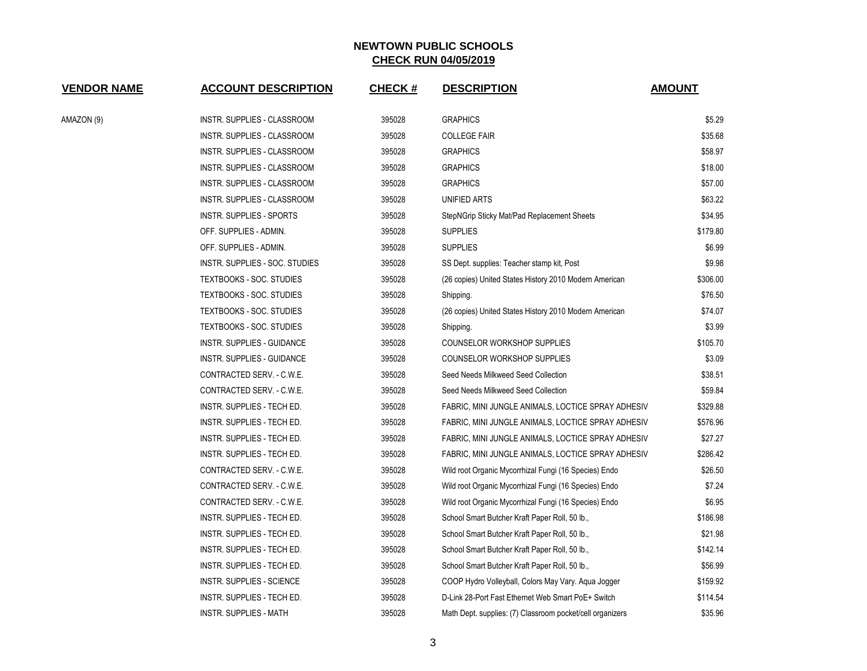| <b>VENDOR NAME</b> | <b>ACCOUNT DESCRIPTION</b>      | <b>CHECK#</b> | <b>DESCRIPTION</b>                                        | <b>AMOUNT</b> |  |
|--------------------|---------------------------------|---------------|-----------------------------------------------------------|---------------|--|
| AMAZON (9)         | INSTR. SUPPLIES - CLASSROOM     | 395028        | <b>GRAPHICS</b>                                           | \$5.29        |  |
|                    | INSTR. SUPPLIES - CLASSROOM     | 395028        | <b>COLLEGE FAIR</b>                                       | \$35.68       |  |
|                    | INSTR. SUPPLIES - CLASSROOM     | 395028        | <b>GRAPHICS</b>                                           | \$58.97       |  |
|                    | INSTR. SUPPLIES - CLASSROOM     | 395028        | <b>GRAPHICS</b>                                           | \$18.00       |  |
|                    | INSTR. SUPPLIES - CLASSROOM     | 395028        | <b>GRAPHICS</b>                                           | \$57.00       |  |
|                    | INSTR. SUPPLIES - CLASSROOM     | 395028        | UNIFIED ARTS                                              | \$63.22       |  |
|                    | INSTR. SUPPLIES - SPORTS        | 395028        | StepNGrip Sticky Mat/Pad Replacement Sheets               | \$34.95       |  |
|                    | OFF. SUPPLIES - ADMIN.          | 395028        | <b>SUPPLIES</b>                                           | \$179.80      |  |
|                    | OFF. SUPPLIES - ADMIN.          | 395028        | <b>SUPPLIES</b>                                           | \$6.99        |  |
|                    | INSTR. SUPPLIES - SOC. STUDIES  | 395028        | SS Dept. supplies: Teacher stamp kit, Post                | \$9.98        |  |
|                    | TEXTBOOKS - SOC. STUDIES        | 395028        | (26 copies) United States History 2010 Modern American    | \$306.00      |  |
|                    | <b>TEXTBOOKS - SOC. STUDIES</b> | 395028        | Shipping.                                                 | \$76.50       |  |
|                    | <b>TEXTBOOKS - SOC. STUDIES</b> | 395028        | (26 copies) United States History 2010 Modern American    | \$74.07       |  |
|                    | <b>TEXTBOOKS - SOC. STUDIES</b> | 395028        | Shipping.                                                 | \$3.99        |  |
|                    | INSTR. SUPPLIES - GUIDANCE      | 395028        | COUNSELOR WORKSHOP SUPPLIES                               | \$105.70      |  |
|                    | INSTR. SUPPLIES - GUIDANCE      | 395028        | COUNSELOR WORKSHOP SUPPLIES                               | \$3.09        |  |
|                    | CONTRACTED SERV. - C.W.E.       | 395028        | Seed Needs Milkweed Seed Collection                       | \$38.51       |  |
|                    | CONTRACTED SERV. - C.W.E.       | 395028        | Seed Needs Milkweed Seed Collection                       | \$59.84       |  |
|                    | INSTR. SUPPLIES - TECH ED.      | 395028        | FABRIC, MINI JUNGLE ANIMALS, LOCTICE SPRAY ADHESIV        | \$329.88      |  |
|                    | INSTR. SUPPLIES - TECH ED.      | 395028        | FABRIC, MINI JUNGLE ANIMALS, LOCTICE SPRAY ADHESIV        | \$576.96      |  |
|                    | INSTR. SUPPLIES - TECH ED.      | 395028        | FABRIC, MINI JUNGLE ANIMALS, LOCTICE SPRAY ADHESIV        | \$27.27       |  |
|                    | INSTR. SUPPLIES - TECH ED.      | 395028        | FABRIC, MINI JUNGLE ANIMALS, LOCTICE SPRAY ADHESIV        | \$286.42      |  |
|                    | CONTRACTED SERV. - C.W.E.       | 395028        | Wild root Organic Mycorrhizal Fungi (16 Species) Endo     | \$26.50       |  |
|                    | CONTRACTED SERV. - C.W.E.       | 395028        | Wild root Organic Mycorrhizal Fungi (16 Species) Endo     | \$7.24        |  |
|                    | CONTRACTED SERV. - C.W.E.       | 395028        | Wild root Organic Mycorrhizal Fungi (16 Species) Endo     | \$6.95        |  |
|                    | INSTR. SUPPLIES - TECH ED.      | 395028        | School Smart Butcher Kraft Paper Roll, 50 lb.,            | \$186.98      |  |
|                    | INSTR. SUPPLIES - TECH ED.      | 395028        | School Smart Butcher Kraft Paper Roll, 50 lb.,            | \$21.98       |  |
|                    | INSTR. SUPPLIES - TECH ED.      | 395028        | School Smart Butcher Kraft Paper Roll, 50 lb.,            | \$142.14      |  |
|                    | INSTR. SUPPLIES - TECH ED.      | 395028        | School Smart Butcher Kraft Paper Roll, 50 lb.,            | \$56.99       |  |
|                    | INSTR. SUPPLIES - SCIENCE       | 395028        | COOP Hydro Volleyball, Colors May Vary. Aqua Jogger       | \$159.92      |  |
|                    | INSTR. SUPPLIES - TECH ED.      | 395028        | D-Link 28-Port Fast Ethernet Web Smart PoE+ Switch        | \$114.54      |  |
|                    | INSTR. SUPPLIES - MATH          | 395028        | Math Dept. supplies: (7) Classroom pocket/cell organizers | \$35.96       |  |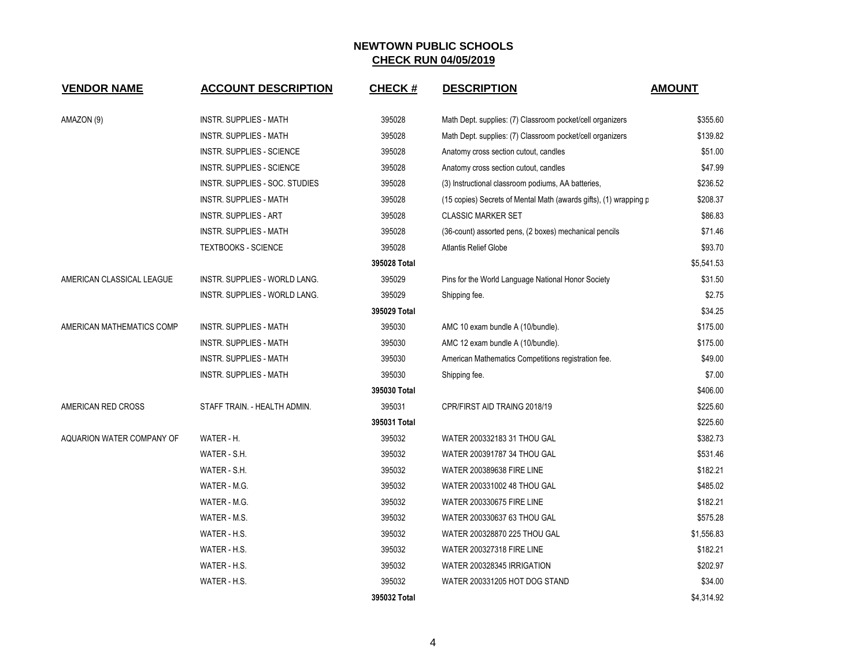| <b>VENDOR NAME</b>               | <b>ACCOUNT DESCRIPTION</b>       | <b>CHECK#</b> | <b>DESCRIPTION</b>                                                | <b>AMOUNT</b> |
|----------------------------------|----------------------------------|---------------|-------------------------------------------------------------------|---------------|
| AMAZON (9)                       | <b>INSTR. SUPPLIES - MATH</b>    | 395028        | Math Dept. supplies: (7) Classroom pocket/cell organizers         | \$355.60      |
|                                  | <b>INSTR. SUPPLIES - MATH</b>    | 395028        | Math Dept. supplies: (7) Classroom pocket/cell organizers         | \$139.82      |
|                                  | <b>INSTR. SUPPLIES - SCIENCE</b> | 395028        | Anatomy cross section cutout, candles                             | \$51.00       |
|                                  | INSTR. SUPPLIES - SCIENCE        | 395028        | Anatomy cross section cutout, candles                             | \$47.99       |
|                                  | INSTR. SUPPLIES - SOC. STUDIES   | 395028        | (3) Instructional classroom podiums, AA batteries,                | \$236.52      |
|                                  | <b>INSTR. SUPPLIES - MATH</b>    | 395028        | (15 copies) Secrets of Mental Math (awards gifts), (1) wrapping p | \$208.37      |
|                                  | <b>INSTR. SUPPLIES - ART</b>     | 395028        | <b>CLASSIC MARKER SET</b>                                         | \$86.83       |
|                                  | INSTR. SUPPLIES - MATH           | 395028        | (36-count) assorted pens, (2 boxes) mechanical pencils            | \$71.46       |
|                                  | <b>TEXTBOOKS - SCIENCE</b>       | 395028        | <b>Atlantis Relief Globe</b>                                      | \$93.70       |
|                                  |                                  | 395028 Total  |                                                                   | \$5,541.53    |
| AMERICAN CLASSICAL LEAGUE        | INSTR. SUPPLIES - WORLD LANG.    | 395029        | Pins for the World Language National Honor Society                | \$31.50       |
|                                  | INSTR. SUPPLIES - WORLD LANG.    | 395029        | Shipping fee.                                                     | \$2.75        |
|                                  |                                  | 395029 Total  |                                                                   | \$34.25       |
| AMERICAN MATHEMATICS COMP        | <b>INSTR. SUPPLIES - MATH</b>    | 395030        | AMC 10 exam bundle A (10/bundle).                                 | \$175.00      |
|                                  | <b>INSTR. SUPPLIES - MATH</b>    | 395030        | AMC 12 exam bundle A (10/bundle).                                 | \$175.00      |
|                                  | INSTR. SUPPLIES - MATH           | 395030        | American Mathematics Competitions registration fee.               | \$49.00       |
|                                  | <b>INSTR. SUPPLIES - MATH</b>    | 395030        | Shipping fee.                                                     | \$7.00        |
|                                  |                                  | 395030 Total  |                                                                   | \$406.00      |
| AMERICAN RED CROSS               | STAFF TRAIN. - HEALTH ADMIN.     | 395031        | CPR/FIRST AID TRAING 2018/19                                      | \$225.60      |
|                                  |                                  | 395031 Total  |                                                                   | \$225.60      |
| <b>AQUARION WATER COMPANY OF</b> | WATER - H.                       | 395032        | WATER 200332183 31 THOU GAL                                       | \$382.73      |
|                                  | WATER - S.H.                     | 395032        | WATER 200391787 34 THOU GAL                                       | \$531.46      |
|                                  | WATER - S.H.                     | 395032        | <b>WATER 200389638 FIRE LINE</b>                                  | \$182.21      |
|                                  | WATER - M.G.                     | 395032        | WATER 200331002 48 THOU GAL                                       | \$485.02      |
|                                  | WATER - M.G.                     | 395032        | <b>WATER 200330675 FIRE LINE</b>                                  | \$182.21      |
|                                  | WATER - M.S.                     | 395032        | WATER 200330637 63 THOU GAL                                       | \$575.28      |
|                                  | WATER - H.S.                     | 395032        | WATER 200328870 225 THOU GAL                                      | \$1,556.83    |
|                                  | WATER - H.S.                     | 395032        | <b>WATER 200327318 FIRE LINE</b>                                  | \$182.21      |
|                                  | WATER - H.S.                     | 395032        | WATER 200328345 IRRIGATION                                        | \$202.97      |
|                                  | WATER - H.S.                     | 395032        | WATER 200331205 HOT DOG STAND                                     | \$34.00       |
|                                  |                                  | 395032 Total  |                                                                   | \$4,314.92    |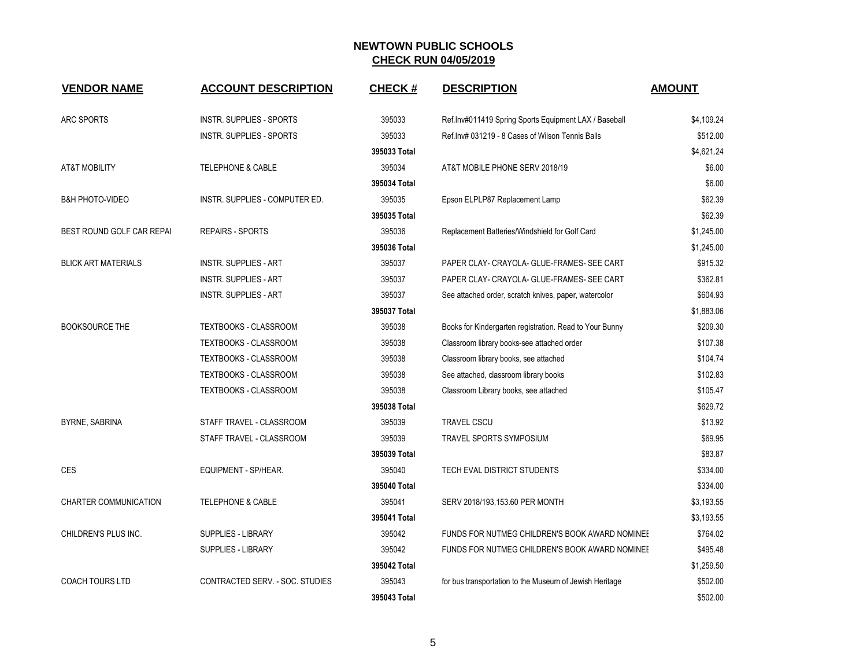| <b>VENDOR NAME</b>         | <b>ACCOUNT DESCRIPTION</b>      | <b>CHECK#</b> | <b>DESCRIPTION</b>                                      | <b>AMOUNT</b> |
|----------------------------|---------------------------------|---------------|---------------------------------------------------------|---------------|
| <b>ARC SPORTS</b>          | <b>INSTR. SUPPLIES - SPORTS</b> | 395033        | Ref.Inv#011419 Spring Sports Equipment LAX / Baseball   | \$4,109.24    |
|                            | <b>INSTR. SUPPLIES - SPORTS</b> | 395033        | Ref.Inv# 031219 - 8 Cases of Wilson Tennis Balls        | \$512.00      |
|                            |                                 | 395033 Total  |                                                         | \$4,621.24    |
| <b>AT&amp;T MOBILITY</b>   | <b>TELEPHONE &amp; CABLE</b>    | 395034        | AT&T MOBILE PHONE SERV 2018/19                          | \$6.00        |
|                            |                                 | 395034 Total  |                                                         | \$6.00        |
| <b>B&amp;H PHOTO-VIDEO</b> | INSTR. SUPPLIES - COMPUTER ED.  | 395035        | Epson ELPLP87 Replacement Lamp                          | \$62.39       |
|                            |                                 | 395035 Total  |                                                         | \$62.39       |
| BEST ROUND GOLF CAR REPAI  | <b>REPAIRS - SPORTS</b>         | 395036        | Replacement Batteries/Windshield for Golf Card          | \$1,245.00    |
|                            |                                 | 395036 Total  |                                                         | \$1,245.00    |
| <b>BLICK ART MATERIALS</b> | <b>INSTR. SUPPLIES - ART</b>    | 395037        | PAPER CLAY- CRAYOLA- GLUE-FRAMES- SEE CART              | \$915.32      |
|                            | <b>INSTR. SUPPLIES - ART</b>    | 395037        | PAPER CLAY- CRAYOLA- GLUE-FRAMES- SEE CART              | \$362.81      |
|                            | <b>INSTR. SUPPLIES - ART</b>    | 395037        | See attached order, scratch knives, paper, watercolor   | \$604.93      |
|                            |                                 | 395037 Total  |                                                         | \$1,883.06    |
| <b>BOOKSOURCE THE</b>      | TEXTBOOKS - CLASSROOM           | 395038        | Books for Kindergarten registration. Read to Your Bunny | \$209.30      |
|                            | TEXTBOOKS - CLASSROOM           | 395038        | Classroom library books-see attached order              | \$107.38      |
|                            | <b>TEXTBOOKS - CLASSROOM</b>    | 395038        | Classroom library books, see attached                   | \$104.74      |
|                            | <b>TEXTBOOKS - CLASSROOM</b>    | 395038        | See attached, classroom library books                   | \$102.83      |
|                            | TEXTBOOKS - CLASSROOM           | 395038        | Classroom Library books, see attached                   | \$105.47      |
|                            |                                 | 395038 Total  |                                                         | \$629.72      |
| BYRNE, SABRINA             | STAFF TRAVEL - CLASSROOM        | 395039        | <b>TRAVEL CSCU</b>                                      | \$13.92       |
|                            | STAFF TRAVEL - CLASSROOM        | 395039        | TRAVEL SPORTS SYMPOSIUM                                 | \$69.95       |
|                            |                                 | 395039 Total  |                                                         | \$83.87       |
| <b>CES</b>                 | EQUIPMENT - SP/HEAR.            | 395040        | TECH EVAL DISTRICT STUDENTS                             | \$334.00      |
|                            |                                 | 395040 Total  |                                                         | \$334.00      |
| CHARTER COMMUNICATION      | <b>TELEPHONE &amp; CABLE</b>    | 395041        | SERV 2018/193,153.60 PER MONTH                          | \$3,193.55    |
|                            |                                 | 395041 Total  |                                                         | \$3,193.55    |
| CHILDREN'S PLUS INC.       | SUPPLIES - LIBRARY              | 395042        | FUNDS FOR NUTMEG CHILDREN'S BOOK AWARD NOMINEL          | \$764.02      |
|                            | <b>SUPPLIES - LIBRARY</b>       | 395042        | FUNDS FOR NUTMEG CHILDREN'S BOOK AWARD NOMINEI          | \$495.48      |
|                            |                                 | 395042 Total  |                                                         | \$1,259.50    |
| <b>COACH TOURS LTD</b>     | CONTRACTED SERV. - SOC. STUDIES | 395043        | for bus transportation to the Museum of Jewish Heritage | \$502.00      |
|                            |                                 | 395043 Total  |                                                         | \$502.00      |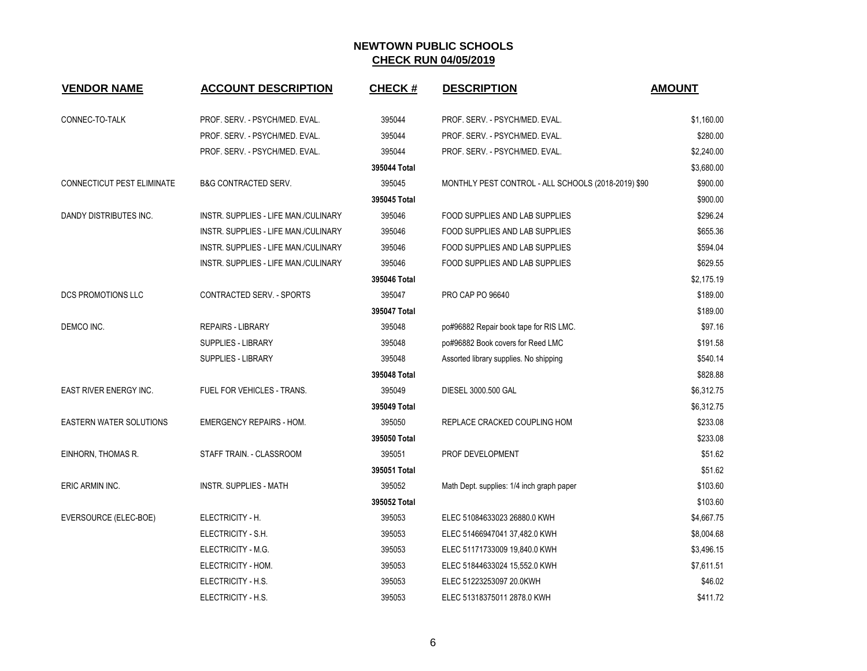| <b>VENDOR NAME</b>             | <b>ACCOUNT DESCRIPTION</b>           | <b>CHECK#</b> | <b>DESCRIPTION</b>                                  | <b>AMOUNT</b> |
|--------------------------------|--------------------------------------|---------------|-----------------------------------------------------|---------------|
| CONNEC-TO-TALK                 | PROF. SERV. - PSYCH/MED. EVAL.       | 395044        | PROF. SERV. - PSYCH/MED. EVAL.                      | \$1,160.00    |
|                                | PROF. SERV. - PSYCH/MED. EVAL.       | 395044        | PROF. SERV. - PSYCH/MED. EVAL.                      | \$280.00      |
|                                | PROF. SERV. - PSYCH/MED. EVAL.       | 395044        | PROF. SERV. - PSYCH/MED. EVAL.                      | \$2,240.00    |
|                                |                                      | 395044 Total  |                                                     | \$3,680.00    |
| CONNECTICUT PEST ELIMINATE     | <b>B&amp;G CONTRACTED SERV.</b>      | 395045        | MONTHLY PEST CONTROL - ALL SCHOOLS (2018-2019) \$90 | \$900.00      |
|                                |                                      | 395045 Total  |                                                     | \$900.00      |
| DANDY DISTRIBUTES INC.         | INSTR. SUPPLIES - LIFE MAN./CULINARY | 395046        | FOOD SUPPLIES AND LAB SUPPLIES                      | \$296.24      |
|                                | INSTR. SUPPLIES - LIFE MAN./CULINARY | 395046        | FOOD SUPPLIES AND LAB SUPPLIES                      | \$655.36      |
|                                | INSTR. SUPPLIES - LIFE MAN./CULINARY | 395046        | FOOD SUPPLIES AND LAB SUPPLIES                      | \$594.04      |
|                                | INSTR. SUPPLIES - LIFE MAN./CULINARY | 395046        | FOOD SUPPLIES AND LAB SUPPLIES                      | \$629.55      |
|                                |                                      | 395046 Total  |                                                     | \$2,175.19    |
| <b>DCS PROMOTIONS LLC</b>      | CONTRACTED SERV. - SPORTS            | 395047        | PRO CAP PO 96640                                    | \$189.00      |
|                                |                                      | 395047 Total  |                                                     | \$189.00      |
| DEMCO INC.                     | <b>REPAIRS - LIBRARY</b>             | 395048        | po#96882 Repair book tape for RIS LMC.              | \$97.16       |
|                                | SUPPLIES - LIBRARY                   | 395048        | po#96882 Book covers for Reed LMC                   | \$191.58      |
|                                | <b>SUPPLIES - LIBRARY</b>            | 395048        | Assorted library supplies. No shipping              | \$540.14      |
|                                |                                      | 395048 Total  |                                                     | \$828.88      |
| <b>EAST RIVER ENERGY INC.</b>  | FUEL FOR VEHICLES - TRANS.           | 395049        | DIESEL 3000.500 GAL                                 | \$6,312.75    |
|                                |                                      | 395049 Total  |                                                     | \$6,312.75    |
| <b>EASTERN WATER SOLUTIONS</b> | <b>EMERGENCY REPAIRS - HOM.</b>      | 395050        | REPLACE CRACKED COUPLING HOM                        | \$233.08      |
|                                |                                      | 395050 Total  |                                                     | \$233.08      |
| EINHORN, THOMAS R.             | STAFF TRAIN. - CLASSROOM             | 395051        | PROF DEVELOPMENT                                    | \$51.62       |
|                                |                                      | 395051 Total  |                                                     | \$51.62       |
| ERIC ARMIN INC.                | <b>INSTR. SUPPLIES - MATH</b>        | 395052        | Math Dept. supplies: 1/4 inch graph paper           | \$103.60      |
|                                |                                      | 395052 Total  |                                                     | \$103.60      |
| EVERSOURCE (ELEC-BOE)          | ELECTRICITY - H.                     | 395053        | ELEC 51084633023 26880.0 KWH                        | \$4,667.75    |
|                                | ELECTRICITY - S.H.                   | 395053        | ELEC 51466947041 37,482.0 KWH                       | \$8,004.68    |
|                                | ELECTRICITY - M.G.                   | 395053        | ELEC 51171733009 19,840.0 KWH                       | \$3,496.15    |
|                                | ELECTRICITY - HOM.                   | 395053        | ELEC 51844633024 15,552.0 KWH                       | \$7,611.51    |
|                                | ELECTRICITY - H.S.                   | 395053        | ELEC 51223253097 20.0KWH                            | \$46.02       |
|                                | ELECTRICITY - H.S.                   | 395053        | ELEC 51318375011 2878.0 KWH                         | \$411.72      |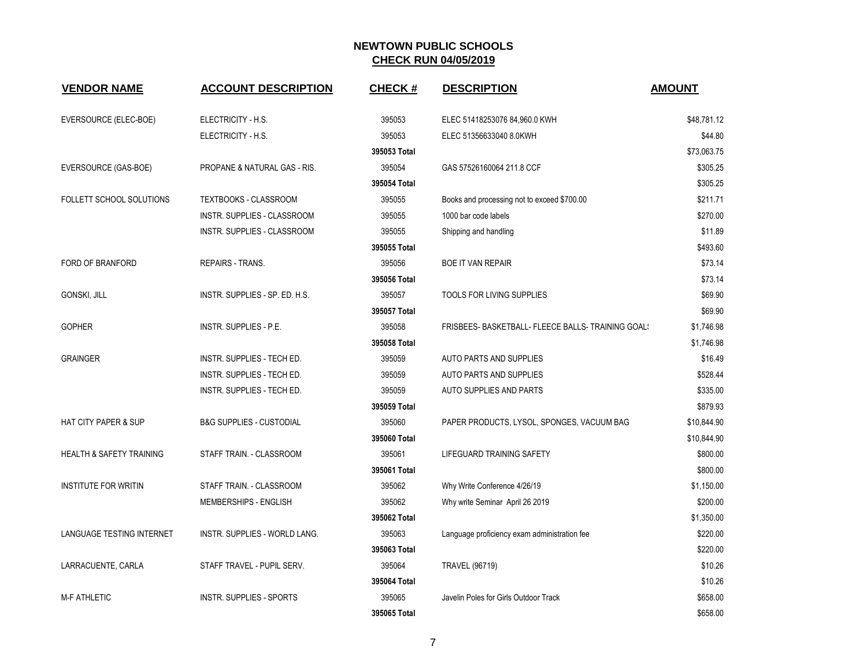| <b>VENDOR NAME</b>                  | <b>ACCOUNT DESCRIPTION</b>          | <b>CHECK#</b> | <b>DESCRIPTION</b>                                 | <b>AMOUNT</b> |
|-------------------------------------|-------------------------------------|---------------|----------------------------------------------------|---------------|
| EVERSOURCE (ELEC-BOE)               | ELECTRICITY - H.S.                  | 395053        | ELEC 51418253076 84,960.0 KWH                      | \$48,781.12   |
|                                     | ELECTRICITY - H.S.                  | 395053        | ELEC 51356633040 8.0KWH                            | \$44.80       |
|                                     |                                     | 395053 Total  |                                                    | \$73,063.75   |
| EVERSOURCE (GAS-BOE)                | PROPANE & NATURAL GAS - RIS.        | 395054        | GAS 57526160064 211.8 CCF                          | \$305.25      |
|                                     |                                     | 395054 Total  |                                                    | \$305.25      |
| FOLLETT SCHOOL SOLUTIONS            | TEXTBOOKS - CLASSROOM               | 395055        | Books and processing not to exceed \$700.00        | \$211.71      |
|                                     | INSTR. SUPPLIES - CLASSROOM         | 395055        | 1000 bar code labels                               | \$270.00      |
|                                     | INSTR. SUPPLIES - CLASSROOM         | 395055        | Shipping and handling                              | \$11.89       |
|                                     |                                     | 395055 Total  |                                                    | \$493.60      |
| FORD OF BRANFORD                    | <b>REPAIRS - TRANS.</b>             | 395056        | <b>BOE IT VAN REPAIR</b>                           | \$73.14       |
|                                     |                                     | 395056 Total  |                                                    | \$73.14       |
| GONSKI, JILL                        | INSTR. SUPPLIES - SP. ED. H.S.      | 395057        | TOOLS FOR LIVING SUPPLIES                          | \$69.90       |
|                                     |                                     | 395057 Total  |                                                    | \$69.90       |
| <b>GOPHER</b>                       | INSTR. SUPPLIES - P.E.              | 395058        | FRISBEES- BASKETBALL- FLEECE BALLS- TRAINING GOAL! | \$1,746.98    |
|                                     |                                     | 395058 Total  |                                                    | \$1,746.98    |
| <b>GRAINGER</b>                     | INSTR. SUPPLIES - TECH ED.          | 395059        | AUTO PARTS AND SUPPLIES                            | \$16.49       |
|                                     | <b>INSTR. SUPPLIES - TECH ED.</b>   | 395059        | AUTO PARTS AND SUPPLIES                            | \$528.44      |
|                                     | INSTR. SUPPLIES - TECH ED.          | 395059        | AUTO SUPPLIES AND PARTS                            | \$335.00      |
|                                     |                                     | 395059 Total  |                                                    | \$879.93      |
| <b>HAT CITY PAPER &amp; SUP</b>     | <b>B&amp;G SUPPLIES - CUSTODIAL</b> | 395060        | PAPER PRODUCTS, LYSOL, SPONGES, VACUUM BAG         | \$10,844.90   |
|                                     |                                     | 395060 Total  |                                                    | \$10,844.90   |
| <b>HEALTH &amp; SAFETY TRAINING</b> | STAFF TRAIN. - CLASSROOM            | 395061        | LIFEGUARD TRAINING SAFETY                          | \$800.00      |
|                                     |                                     | 395061 Total  |                                                    | \$800.00      |
| <b>INSTITUTE FOR WRITIN</b>         | STAFF TRAIN. - CLASSROOM            | 395062        | Why Write Conference 4/26/19                       | \$1,150.00    |
|                                     | MEMBERSHIPS - ENGLISH               | 395062        | Why write Seminar April 26 2019                    | \$200.00      |
|                                     |                                     | 395062 Total  |                                                    | \$1,350.00    |
| <b>LANGUAGE TESTING INTERNET</b>    | INSTR. SUPPLIES - WORLD LANG.       | 395063        | Language proficiency exam administration fee       | \$220.00      |
|                                     |                                     | 395063 Total  |                                                    | \$220.00      |
| LARRACUENTE, CARLA                  | STAFF TRAVEL - PUPIL SERV.          | 395064        | <b>TRAVEL (96719)</b>                              | \$10.26       |
|                                     |                                     | 395064 Total  |                                                    | \$10.26       |
| <b>M-F ATHLETIC</b>                 | <b>INSTR. SUPPLIES - SPORTS</b>     | 395065        | Javelin Poles for Girls Outdoor Track              | \$658.00      |
|                                     |                                     | 395065 Total  |                                                    | \$658.00      |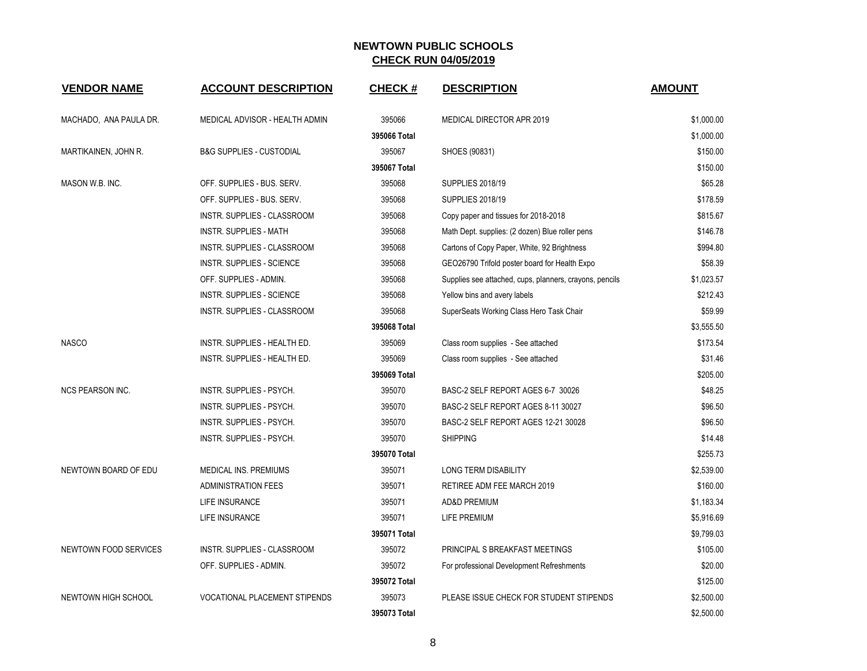| <b>VENDOR NAME</b>           | <b>ACCOUNT DESCRIPTION</b>           | <b>CHECK#</b> | <b>DESCRIPTION</b>                                      | <b>AMOUNT</b> |
|------------------------------|--------------------------------------|---------------|---------------------------------------------------------|---------------|
| MACHADO, ANA PAULA DR.       | MEDICAL ADVISOR - HEALTH ADMIN       | 395066        | MEDICAL DIRECTOR APR 2019                               | \$1,000.00    |
|                              |                                      | 395066 Total  |                                                         | \$1,000.00    |
| MARTIKAINEN, JOHN R.         | <b>B&amp;G SUPPLIES - CUSTODIAL</b>  | 395067        | SHOES (90831)                                           | \$150.00      |
|                              |                                      | 395067 Total  |                                                         | \$150.00      |
| MASON W.B. INC.              | OFF. SUPPLIES - BUS. SERV.           | 395068        | <b>SUPPLIES 2018/19</b>                                 | \$65.28       |
|                              | OFF. SUPPLIES - BUS. SERV.           | 395068        | <b>SUPPLIES 2018/19</b>                                 | \$178.59      |
|                              | INSTR. SUPPLIES - CLASSROOM          | 395068        | Copy paper and tissues for 2018-2018                    | \$815.67      |
|                              | <b>INSTR. SUPPLIES - MATH</b>        | 395068        | Math Dept. supplies: (2 dozen) Blue roller pens         | \$146.78      |
|                              | <b>INSTR. SUPPLIES - CLASSROOM</b>   | 395068        | Cartons of Copy Paper, White, 92 Brightness             | \$994.80      |
|                              | <b>INSTR. SUPPLIES - SCIENCE</b>     | 395068        | GEO26790 Trifold poster board for Health Expo           | \$58.39       |
|                              | OFF. SUPPLIES - ADMIN.               | 395068        | Supplies see attached, cups, planners, crayons, pencils | \$1,023.57    |
|                              | INSTR. SUPPLIES - SCIENCE            | 395068        | Yellow bins and avery labels                            | \$212.43      |
|                              | INSTR. SUPPLIES - CLASSROOM          | 395068        | SuperSeats Working Class Hero Task Chair                | \$59.99       |
|                              |                                      | 395068 Total  |                                                         | \$3,555.50    |
| <b>NASCO</b>                 | INSTR. SUPPLIES - HEALTH ED.         | 395069        | Class room supplies - See attached                      | \$173.54      |
|                              | INSTR. SUPPLIES - HEALTH ED.         | 395069        | Class room supplies - See attached                      | \$31.46       |
|                              |                                      | 395069 Total  |                                                         | \$205.00      |
| <b>NCS PEARSON INC.</b>      | INSTR. SUPPLIES - PSYCH.             | 395070        | BASC-2 SELF REPORT AGES 6-7 30026                       | \$48.25       |
|                              | INSTR. SUPPLIES - PSYCH.             | 395070        | BASC-2 SELF REPORT AGES 8-11 30027                      | \$96.50       |
|                              | <b>INSTR. SUPPLIES - PSYCH.</b>      | 395070        | BASC-2 SELF REPORT AGES 12-21 30028                     | \$96.50       |
|                              | <b>INSTR. SUPPLIES - PSYCH.</b>      | 395070        | <b>SHIPPING</b>                                         | \$14.48       |
|                              |                                      | 395070 Total  |                                                         | \$255.73      |
| NEWTOWN BOARD OF EDU         | MEDICAL INS. PREMIUMS                | 395071        | LONG TERM DISABILITY                                    | \$2,539.00    |
|                              | <b>ADMINISTRATION FEES</b>           | 395071        | RETIREE ADM FEE MARCH 2019                              | \$160.00      |
|                              | LIFE INSURANCE                       | 395071        | <b>AD&amp;D PREMIUM</b>                                 | \$1,183.34    |
|                              | LIFE INSURANCE                       | 395071        | LIFE PREMIUM                                            | \$5,916.69    |
|                              |                                      | 395071 Total  |                                                         | \$9,799.03    |
| <b>NEWTOWN FOOD SERVICES</b> | INSTR. SUPPLIES - CLASSROOM          | 395072        | PRINCIPAL S BREAKFAST MEETINGS                          | \$105.00      |
|                              | OFF. SUPPLIES - ADMIN.               | 395072        | For professional Development Refreshments               | \$20.00       |
|                              |                                      | 395072 Total  |                                                         | \$125.00      |
| NEWTOWN HIGH SCHOOL          | <b>VOCATIONAL PLACEMENT STIPENDS</b> | 395073        | PLEASE ISSUE CHECK FOR STUDENT STIPENDS                 | \$2,500.00    |
|                              |                                      | 395073 Total  |                                                         | \$2,500.00    |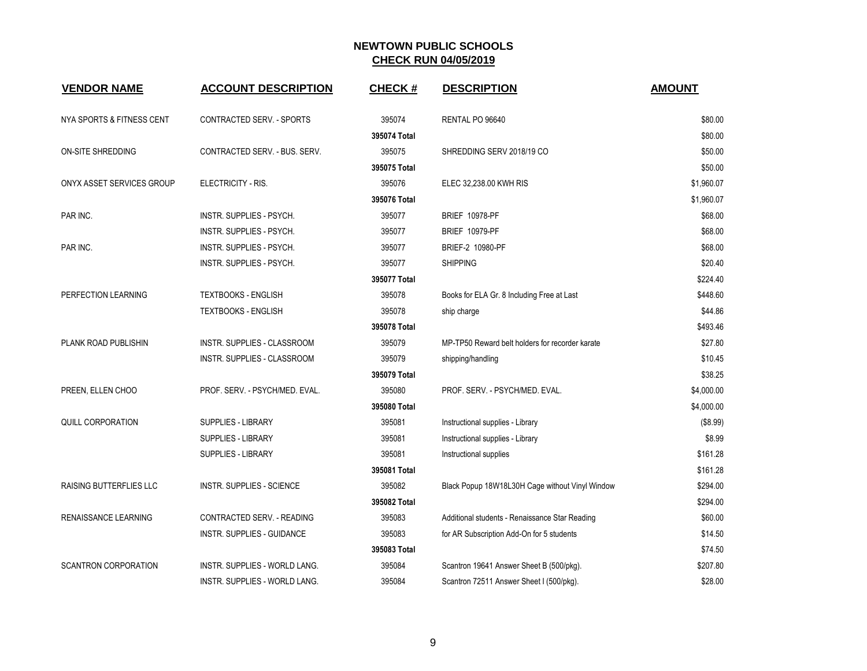| <b>VENDOR NAME</b>             | <b>ACCOUNT DESCRIPTION</b>       | <b>CHECK#</b> | <b>DESCRIPTION</b>                              | <b>AMOUNT</b> |
|--------------------------------|----------------------------------|---------------|-------------------------------------------------|---------------|
| NYA SPORTS & FITNESS CENT      | CONTRACTED SERV. - SPORTS        | 395074        | RENTAL PO 96640                                 | \$80.00       |
|                                |                                  | 395074 Total  |                                                 | \$80.00       |
| <b>ON-SITE SHREDDING</b>       | CONTRACTED SERV. - BUS. SERV.    | 395075        | SHREDDING SERV 2018/19 CO                       | \$50.00       |
|                                |                                  | 395075 Total  |                                                 | \$50.00       |
| ONYX ASSET SERVICES GROUP      | ELECTRICITY - RIS.               | 395076        | ELEC 32,238.00 KWH RIS                          | \$1,960.07    |
|                                |                                  | 395076 Total  |                                                 | \$1,960.07    |
| PAR INC.                       | INSTR. SUPPLIES - PSYCH.         | 395077        | <b>BRIEF 10978-PF</b>                           | \$68.00       |
|                                | INSTR. SUPPLIES - PSYCH.         | 395077        | <b>BRIEF 10979-PF</b>                           | \$68.00       |
| PAR INC.                       | INSTR. SUPPLIES - PSYCH.         | 395077        | BRIEF-2 10980-PF                                | \$68.00       |
|                                | INSTR. SUPPLIES - PSYCH.         | 395077        | <b>SHIPPING</b>                                 | \$20.40       |
|                                |                                  | 395077 Total  |                                                 | \$224.40      |
| PERFECTION LEARNING            | <b>TEXTBOOKS - ENGLISH</b>       | 395078        | Books for ELA Gr. 8 Including Free at Last      | \$448.60      |
|                                | TEXTBOOKS - ENGLISH              | 395078        | ship charge                                     | \$44.86       |
|                                |                                  | 395078 Total  |                                                 | \$493.46      |
| PLANK ROAD PUBLISHIN           | INSTR. SUPPLIES - CLASSROOM      | 395079        | MP-TP50 Reward belt holders for recorder karate | \$27.80       |
|                                | INSTR. SUPPLIES - CLASSROOM      | 395079        | shipping/handling                               | \$10.45       |
|                                |                                  | 395079 Total  |                                                 | \$38.25       |
| PREEN, ELLEN CHOO              | PROF. SERV. - PSYCH/MED. EVAL.   | 395080        | PROF. SERV. - PSYCH/MED. EVAL.                  | \$4,000.00    |
|                                |                                  | 395080 Total  |                                                 | \$4,000.00    |
| QUILL CORPORATION              | <b>SUPPLIES - LIBRARY</b>        | 395081        | Instructional supplies - Library                | (\$8.99)      |
|                                | <b>SUPPLIES - LIBRARY</b>        | 395081        | Instructional supplies - Library                | \$8.99        |
|                                | <b>SUPPLIES - LIBRARY</b>        | 395081        | Instructional supplies                          | \$161.28      |
|                                |                                  | 395081 Total  |                                                 | \$161.28      |
| <b>RAISING BUTTERFLIES LLC</b> | <b>INSTR. SUPPLIES - SCIENCE</b> | 395082        | Black Popup 18W18L30H Cage without Vinyl Window | \$294.00      |
|                                |                                  | 395082 Total  |                                                 | \$294.00      |
| RENAISSANCE LEARNING           | CONTRACTED SERV. - READING       | 395083        | Additional students - Renaissance Star Reading  | \$60.00       |
|                                | INSTR. SUPPLIES - GUIDANCE       | 395083        | for AR Subscription Add-On for 5 students       | \$14.50       |
|                                |                                  | 395083 Total  |                                                 | \$74.50       |
| <b>SCANTRON CORPORATION</b>    | INSTR. SUPPLIES - WORLD LANG.    | 395084        | Scantron 19641 Answer Sheet B (500/pkg).        | \$207.80      |
|                                | INSTR. SUPPLIES - WORLD LANG.    | 395084        | Scantron 72511 Answer Sheet I (500/pkg).        | \$28.00       |